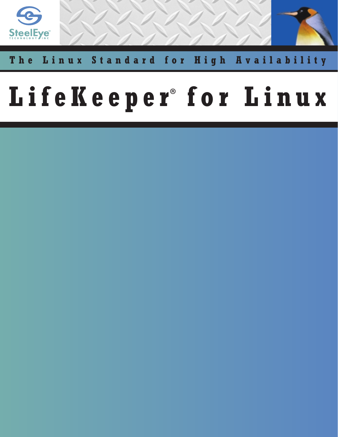

# The Linux Standard for High Availability

# LifeKeeper<sup>®</sup> for Linux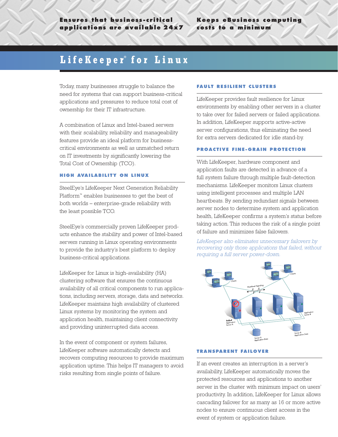## **Keeps eBusiness computing costs to a minimum**

# LifeKeeper<sup>®</sup> for Linux

Today, many businesses struggle to balance the need for systems that can support business-critical applications and pressures to reduce total cost of ownership for their IT infrastructure.

A combination of Linux and Intel-based servers with their scalability, reliability and manageability features provide an ideal platform for businesscritical environments as well as unmatched return on IT investments by significantly lowering the Total Cost of Ownership (TCO).

#### **HIGH AVAILABILITY ON LINUX**

SteelEye's LifeKeeper Next Generation Reliability Platform™ enables businesses to get the best of both worlds – enterprise-grade reliability with the least possible TCO.

SteelEye's commercially proven LifeKeeper products enhance the stability and power of Intel-based servers running in Linux operating environments to provide the industry's best platform to deploy business-critical applications.

LifeKeeper for Linux is high-availability (HA) clustering software that ensures the continuous availability of all critical components to run applications, including servers, storage, data and networks. LifeKeeper maintains high availability of clustered Linux systems by monitoring the system and application health, maintaining client connectivity and providing uninterrupted data access.

In the event of component or system failures, LifeKeeper software automatically detects and recovers computing resources to provide maximum application uptime. This helps IT managers to avoid risks resulting from single points of failure.

#### **FAULT RESILIENT CLUSTERS**

LifeKeeper provides fault resilience for Linux environments by enabling other servers in a cluster to take over for failed servers or failed applications. In addition, LifeKeeper supports active-active server configurations, thus eliminating the need for extra servers dedicated for idle stand-by.

#### **PROACTIVE FINE-GRAIN PROTECTION**

With LifeKeeper, hardware component and application faults are detected in advance of a full system failure through multiple fault-detection mechanisms. LifeKeeper monitors Linux clusters using intelligent processes and multiple LAN heartbeats. By sending redundant signals between server nodes to determine system and application health, LifeKeeper confirms a system's status before taking action. This reduces the risk of a single point of failure and minimizes false failovers.

*LifeKeeper also eliminates unnecessary failovers by recovering only those applications that failed, without requiring a full server power-down.*



#### **TRANSPARENT FAILOVER**

If an event creates an interruption in a server's availability, LifeKeeper automatically moves the protected resources and applications to another server in the cluster with minimum impact on users' productivity. In addition, LifeKeeper for Linux allows cascading failover for as many as 16 or more active nodes to ensure continuous client access in the event of system or application failure.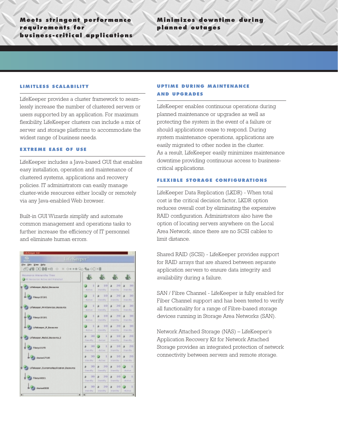**Meets stringent performance requirements for business-critical applications**

## **Minimizes downtime during planned outages**

#### **LIMITLESS SCALABILITY**

LifeKeeper provides a cluster framework to seamlessly increase the number of clustered servers or users supported by an application. For maximum flexibility, LifeKeeper clusters can include a mix of server and storage platforms to accommodate the widest range of business needs.

#### **EXTREME EASE OF USE**

LifeKeeper includes a Java-based GUI that enables easy installation, operation and maintenance of clustered systems, applications and recovery policies. IT administrators can easily manage cluster-wide resources either locally or remotely via any Java-enabled Web browser.

Built-in GUI Wizards simplify and automate common management and operations tasks to further increase the efficiency of IT personnel and eliminate human errors.

| <b>Life Company E.G.</b>                                              |                              |                      |                                             |                         |  |  |  |  |
|-----------------------------------------------------------------------|------------------------------|----------------------|---------------------------------------------|-------------------------|--|--|--|--|
| 65<br><b>L:feKeeper</b>                                               |                              |                      |                                             |                         |  |  |  |  |
| für Die Ver Bele                                                      |                              |                      |                                             |                         |  |  |  |  |
| 30 60 DOM +B 0 × 0+++ 00 % 00 XD                                      |                              |                      |                                             |                         |  |  |  |  |
| Researce Hierardsy Tree<br><b>CAMI Resources Active and Pratacted</b> |                              | 版                    |                                             |                         |  |  |  |  |
| Lifetiesgur, Mallal, Nessurun                                         | п<br>通信する                    | 251<br>teaming.      | 20<br>Standily.                             | 30<br>TOM ONE           |  |  |  |  |
| Filencys SS LH L                                                      | и<br><b>ALEVE</b>            | вo<br>Diamilly       | 20<br>$\overline{\phantom{a}}$<br>Diamillio | 30<br>٠<br>Direct (Red  |  |  |  |  |
| LITMMARK PERSON/KNILMARK ROL                                          | и<br><b>BANYE</b>            | 10<br>Downfilly.     | 20<br>×<br>Dramilly                         | 20<br>٠<br>Drawn ellips |  |  |  |  |
| Filmoys 18 18 L                                                       | и<br>Artive                  | $1-17$<br>Standity:  | 20<br>Standilla                             | 323<br>234.054          |  |  |  |  |
| Lifetizeper, IP, Beseume                                              | ٠<br>ALTYPE                  | 10<br>Il and Fe      | 20<br>a.<br>DOM IV                          | 30<br>٠<br>2044-004     |  |  |  |  |
| Lifemasper_Matici_Masswrout                                           | 30<br>a.<br><b>Lowrattly</b> | ٠<br>Antium          | 10<br>×<br>Dramilly                         | 20<br>٠<br>Down (Fig.   |  |  |  |  |
| Filmrys 3170                                                          | <b>ND</b><br>Standily        | п<br><b>Active</b>   | 10<br>Standily                              | 30<br>٠<br>Strain (Blu  |  |  |  |  |
| directors L7 LBS                                                      | 30<br>3161 (My               | п<br>Act lest        | $\mathbb{R}$<br>27.3444.844                 | 20<br>3084-094          |  |  |  |  |
| Uf dissper_OutramerApplication_Resource                               | 30<br>a.<br><b>Text dily</b> | 20<br>a.<br>Downfile | 10<br>a<br>Dismilly                         | ٠<br><b>Hallist</b>     |  |  |  |  |
| Filery LEDEL                                                          | 38<br>a.<br><b>Councilly</b> | 20<br>Dramatily:     | 10<br>٠<br>Oramatius                        | 1<br><b>BITTER</b>      |  |  |  |  |
| diretore1.000                                                         | 30<br>2161-004               | 20<br>provide.       | $\mathbb{R}$<br>Standily.                   | ı<br><b>BITHE</b>       |  |  |  |  |
| $\blacksquare$<br>¥.                                                  | $\vert$                      |                      |                                             | ٠                       |  |  |  |  |

### **UPTIME DURING MAINTENANCE AND UPGRADES**

LifeKeeper enables continuous operations during planned maintenance or upgrades as well as protecting the system in the event of a failure or should applications cease to respond. During system maintenance operations, applications are easily migrated to other nodes in the cluster. As a result, LifeKeeper easily minimizes maintenance downtime providing continuous access to businesscritical applications.

#### **FLEXIBLE STORAGE CONFIGURATIONS**

LifeKeeper Data Replication (LKDR) - When total cost is the critical decision factor, LKDR option reduces overall cost by eliminating the expensive RAID configuration. Administrators also have the option of locating servers anywhere on the Local Area Network, since there are no SCSI cables to limit distance.

Shared RAID (SCSI) - LifeKeeper provides support for RAID arrays that are shared between separate application servers to ensure data integrity and availability during a failure.

SAN / Fibre Channel - LifeKeeper is fully enabled for Fiber Channel support and has been tested to verify all functionality for a range of Fibre-based storage devices running in Storage Area Networks (SAN).

Network Attached Storage (NAS) – LifeKeeper's Application Recovery Kit for Network Attached Storage provides an integrated protection of network connectivity between servers and remote storage.